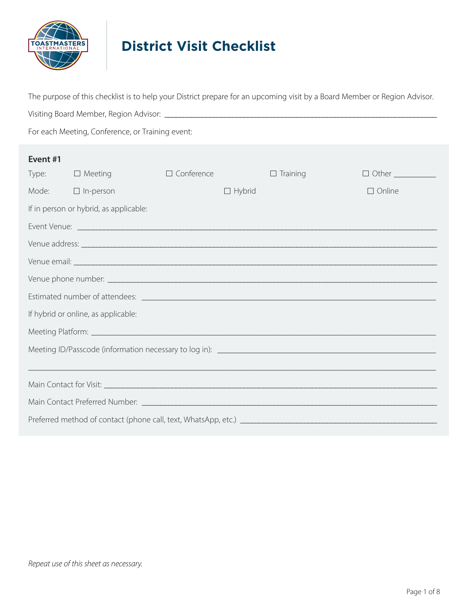

# **District Visit Checklist**

Visiting Board Member, Region Advisor: \_\_\_\_\_\_\_\_\_\_\_\_\_\_\_\_\_\_\_\_\_\_\_\_\_\_\_\_\_\_\_\_\_\_\_\_\_\_\_\_\_\_\_\_\_\_\_\_\_\_\_\_\_\_\_\_\_\_\_\_\_\_\_\_\_\_\_\_\_\_\_\_

The purpose of this checklist is to help your District prepare for an upcoming visit by a Board Member or Region Advisor.

For each Meeting, Conference, or Training event:

| Event #1 |                                        |                   |               |                 |                                               |
|----------|----------------------------------------|-------------------|---------------|-----------------|-----------------------------------------------|
|          | Type: $\Box$ Meeting                   | $\Box$ Conference |               | $\Box$ Training | $\Box$ Other $\_\_\_\_\_\_\_\_\_\_\_\_\_\_\_$ |
| Mode:    | $\Box$ In-person                       |                   | $\Box$ Hybrid |                 | $\Box$ Online                                 |
|          | If in person or hybrid, as applicable: |                   |               |                 |                                               |
|          |                                        |                   |               |                 |                                               |
|          |                                        |                   |               |                 |                                               |
|          |                                        |                   |               |                 |                                               |
|          |                                        |                   |               |                 |                                               |
|          |                                        |                   |               |                 |                                               |
|          | If hybrid or online, as applicable:    |                   |               |                 |                                               |
|          |                                        |                   |               |                 |                                               |
|          |                                        |                   |               |                 |                                               |
|          |                                        |                   |               |                 |                                               |
|          |                                        |                   |               |                 |                                               |
|          |                                        |                   |               |                 |                                               |
|          |                                        |                   |               |                 |                                               |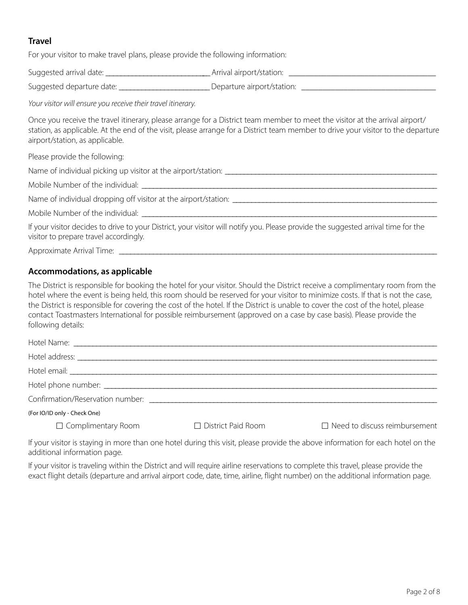# **Travel**

For your visitor to make travel plans, please provide the following information:

| Suggested arrival date: | Arrival airport/station: |
|-------------------------|--------------------------|
|                         |                          |

Suggested departure date: \_\_\_\_\_\_\_\_\_\_\_\_\_\_\_\_\_\_\_\_\_\_\_\_\_\_\_Departure airport/station: \_\_\_\_\_\_\_\_\_\_\_\_\_\_\_\_\_\_\_\_\_\_\_\_\_\_\_\_\_\_

*Your visitor will ensure you receive their travel itinerary.*

Once you receive the travel itinerary, please arrange for a District team member to meet the visitor at the arrival airport/ station, as applicable. At the end of the visit, please arrange for a District team member to drive your visitor to the departure airport/station, as applicable.

Please provide the following:

Name of individual picking up visitor at the airport/station:

Mobile Number of the individual: \_

Name of individual dropping off visitor at the airport/station: \_\_\_\_\_\_\_\_\_\_\_\_\_\_\_\_\_\_\_\_\_\_\_\_\_\_\_\_\_\_\_\_\_\_\_\_\_\_\_\_\_\_\_\_\_\_\_\_\_\_\_\_\_\_

Mobile Number of the individual:

If your visitor decides to drive to your District, your visitor will notify you. Please provide the suggested arrival time for the visitor to prepare travel accordingly.

Approximate Arrival Time: \_\_\_\_\_\_\_\_\_\_\_\_\_\_\_\_\_\_\_\_\_\_\_\_\_\_\_\_\_\_\_\_\_\_\_\_\_\_\_\_\_\_\_\_\_\_\_\_\_\_\_\_\_\_\_\_\_\_\_\_\_\_\_\_\_\_\_\_\_\_\_\_\_\_\_\_\_\_\_\_\_\_\_\_

## **Accommodations, as applicable**

The District is responsible for booking the hotel for your visitor. Should the District receive a complimentary room from the hotel where the event is being held, this room should be reserved for your visitor to minimize costs. If that is not the case, the District is responsible for covering the cost of the hotel. If the District is unable to cover the cost of the hotel, please contact Toastmasters International for possible reimbursement (approved on a case by case basis). Please provide the following details:

| Confirmation/Reservation number: |                           |                                      |
|----------------------------------|---------------------------|--------------------------------------|
| (For IO/ID only - Check One)     |                           |                                      |
| $\Box$ Complimentary Room        | $\Box$ District Paid Room | $\Box$ Need to discuss reimbursement |

If your visitor is staying in more than one hotel during this visit, please provide the above information for each hotel on the additional information page.

If your visitor is traveling within the District and will require airline reservations to complete this travel, please provide the exact flight details (departure and arrival airport code, date, time, airline, flight number) on the additional information page.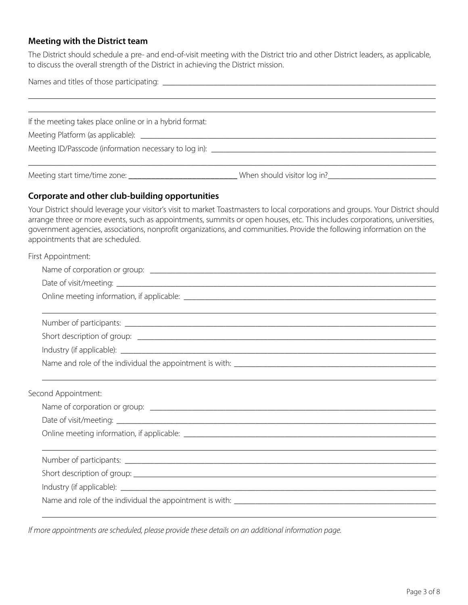# **Meeting with the District team**

The District should schedule a pre- and end-of-visit meeting with the District trio and other District leaders, as applicable, to discuss the overall strength of the District in achieving the District mission.

| and the control of the control of the control of the control of the control of the control of the control of the<br>Date of visit/meeting: ____________                                                                                                                                                                                                                                                                                                                                                                                                                                                                                                            |  |
|--------------------------------------------------------------------------------------------------------------------------------------------------------------------------------------------------------------------------------------------------------------------------------------------------------------------------------------------------------------------------------------------------------------------------------------------------------------------------------------------------------------------------------------------------------------------------------------------------------------------------------------------------------------------|--|
| If the meeting takes place online or in a hybrid format:<br>Meeting start time/time zone: _______________________________When should visitor log in? ___________________________<br>Corporate and other club-building opportunities<br>Your District should leverage your visitor's visit to market Toastmasters to local corporations and groups. Your District should<br>arrange three or more events, such as appointments, summits or open houses, etc. This includes corporations, universities,<br>government agencies, associations, nonprofit organizations, and communities. Provide the following information on the<br>appointments that are scheduled. |  |
|                                                                                                                                                                                                                                                                                                                                                                                                                                                                                                                                                                                                                                                                    |  |
|                                                                                                                                                                                                                                                                                                                                                                                                                                                                                                                                                                                                                                                                    |  |
|                                                                                                                                                                                                                                                                                                                                                                                                                                                                                                                                                                                                                                                                    |  |
|                                                                                                                                                                                                                                                                                                                                                                                                                                                                                                                                                                                                                                                                    |  |
|                                                                                                                                                                                                                                                                                                                                                                                                                                                                                                                                                                                                                                                                    |  |
| First Appointment:                                                                                                                                                                                                                                                                                                                                                                                                                                                                                                                                                                                                                                                 |  |
| Second Appointment:                                                                                                                                                                                                                                                                                                                                                                                                                                                                                                                                                                                                                                                |  |
|                                                                                                                                                                                                                                                                                                                                                                                                                                                                                                                                                                                                                                                                    |  |
|                                                                                                                                                                                                                                                                                                                                                                                                                                                                                                                                                                                                                                                                    |  |
|                                                                                                                                                                                                                                                                                                                                                                                                                                                                                                                                                                                                                                                                    |  |
|                                                                                                                                                                                                                                                                                                                                                                                                                                                                                                                                                                                                                                                                    |  |
|                                                                                                                                                                                                                                                                                                                                                                                                                                                                                                                                                                                                                                                                    |  |
|                                                                                                                                                                                                                                                                                                                                                                                                                                                                                                                                                                                                                                                                    |  |
|                                                                                                                                                                                                                                                                                                                                                                                                                                                                                                                                                                                                                                                                    |  |
|                                                                                                                                                                                                                                                                                                                                                                                                                                                                                                                                                                                                                                                                    |  |
|                                                                                                                                                                                                                                                                                                                                                                                                                                                                                                                                                                                                                                                                    |  |
|                                                                                                                                                                                                                                                                                                                                                                                                                                                                                                                                                                                                                                                                    |  |
|                                                                                                                                                                                                                                                                                                                                                                                                                                                                                                                                                                                                                                                                    |  |
|                                                                                                                                                                                                                                                                                                                                                                                                                                                                                                                                                                                                                                                                    |  |
|                                                                                                                                                                                                                                                                                                                                                                                                                                                                                                                                                                                                                                                                    |  |
|                                                                                                                                                                                                                                                                                                                                                                                                                                                                                                                                                                                                                                                                    |  |
|                                                                                                                                                                                                                                                                                                                                                                                                                                                                                                                                                                                                                                                                    |  |

*If more appointments are scheduled, please provide these details on an additional information page.*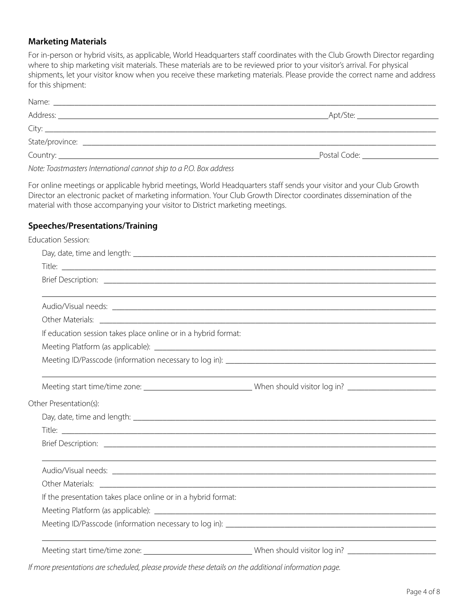## **Marketing Materials**

For in-person or hybrid visits, as applicable, World Headquarters staff coordinates with the Club Growth Director regarding where to ship marketing visit materials. These materials are to be reviewed prior to your visitor's arrival. For physical shipments, let your visitor know when you receive these marketing materials. Please provide the correct name and address for this shipment:

| Apt/Ste:<br>Postal Code: National According to the Contract of the Contract of the Contract of the Contract of the Contract of the Contract of the Contract of the Contract of the Contract of the Contract of the Contract of the Contrac |
|--------------------------------------------------------------------------------------------------------------------------------------------------------------------------------------------------------------------------------------------|

*Note: Toastmasters International cannot ship to a P.O. Box address*

For online meetings or applicable hybrid meetings, World Headquarters staff sends your visitor and your Club Growth Director an electronic packet of marketing information. Your Club Growth Director coordinates dissemination of the material with those accompanying your visitor to District marketing meetings.

## **Speeches/Presentations/Training**

| <b>Education Session:</b>                                                                                            |  |
|----------------------------------------------------------------------------------------------------------------------|--|
|                                                                                                                      |  |
|                                                                                                                      |  |
|                                                                                                                      |  |
|                                                                                                                      |  |
|                                                                                                                      |  |
|                                                                                                                      |  |
| If education session takes place online or in a hybrid format:                                                       |  |
|                                                                                                                      |  |
|                                                                                                                      |  |
|                                                                                                                      |  |
| Meeting start time/time zone: __________________________________When should visitor log in? ________________________ |  |
| Other Presentation(s):                                                                                               |  |
|                                                                                                                      |  |
|                                                                                                                      |  |
|                                                                                                                      |  |
|                                                                                                                      |  |
|                                                                                                                      |  |
|                                                                                                                      |  |
| If the presentation takes place online or in a hybrid format:                                                        |  |
|                                                                                                                      |  |
|                                                                                                                      |  |
| Meeting start time/time zone: ________________________________When should visitor log in? ____________________       |  |
| If more presentations are scheduled, please provide these details on the additional information page.                |  |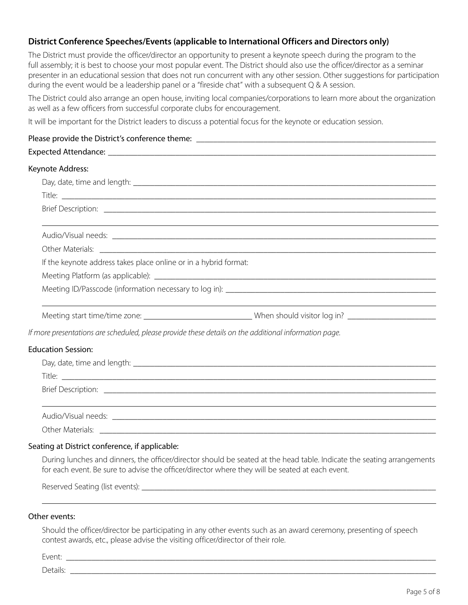## **District Conference Speeches/Events (applicable to International Officers and Directors only)**

The District must provide the officer/director an opportunity to present a keynote speech during the program to the full assembly; it is best to choose your most popular event. The District should also use the officer/director as a seminar presenter in an educational session that does not run concurrent with any other session. Other suggestions for participation during the event would be a leadership panel or a "fireside chat" with a subsequent Q & A session.

The District could also arrange an open house, inviting local companies/corporations to learn more about the organization as well as a few officers from successful corporate clubs for encouragement.

It will be important for the District leaders to discuss a potential focus for the keynote or education session.

## Please provide the District's conference theme: \_\_\_\_\_\_\_\_\_\_\_\_\_\_\_\_\_\_\_\_\_\_\_\_\_\_\_\_\_\_\_\_

#### Expected Attendance:

#### Keynote Address:

|                           | If the keynote address takes place online or in a hybrid format:                                               |  |
|---------------------------|----------------------------------------------------------------------------------------------------------------|--|
|                           |                                                                                                                |  |
|                           |                                                                                                                |  |
|                           |                                                                                                                |  |
|                           | Meeting start time/time zone: _________________________________When should visitor log in? ___________________ |  |
|                           | If more presentations are scheduled, please provide these details on the additional information page.          |  |
| <b>Education Session:</b> |                                                                                                                |  |
|                           |                                                                                                                |  |
|                           |                                                                                                                |  |
|                           |                                                                                                                |  |
|                           |                                                                                                                |  |
|                           |                                                                                                                |  |
|                           |                                                                                                                |  |

#### Seating at District conference, if applicable:

During lunches and dinners, the officer/director should be seated at the head table. Indicate the seating arrangements for each event. Be sure to advise the officer/director where they will be seated at each event.

Reserved Seating (list events): \_\_\_\_\_\_\_\_\_\_\_\_\_\_\_\_\_\_\_\_\_\_\_\_\_\_\_\_\_\_\_\_\_\_\_\_\_\_\_\_\_\_\_\_\_\_\_\_\_\_\_\_\_\_\_\_\_\_\_\_\_\_\_\_\_\_\_\_\_\_

#### Other events:

Should the officer/director be participating in any other events such as an award ceremony, presenting of speech contest awards, etc., please advise the visiting officer/director of their role.

Event: \_\_\_\_\_\_\_\_\_\_\_\_\_\_\_\_\_\_\_\_\_\_\_\_\_\_\_\_\_\_\_\_\_\_\_\_\_\_\_\_\_\_\_\_\_\_\_\_\_\_\_\_\_\_\_\_\_\_\_\_\_\_\_\_\_\_\_\_\_\_\_\_\_\_\_\_\_\_\_\_\_\_\_\_\_\_\_\_

Details: \_\_\_\_\_\_\_\_\_\_\_\_\_\_\_\_\_\_\_\_\_\_\_\_\_\_\_\_\_\_\_\_\_\_\_\_\_\_\_\_\_\_\_\_\_\_\_\_\_\_\_\_\_\_\_\_\_\_\_\_\_\_\_\_\_\_\_\_\_\_\_\_\_\_\_\_\_\_\_\_\_\_\_\_\_\_\_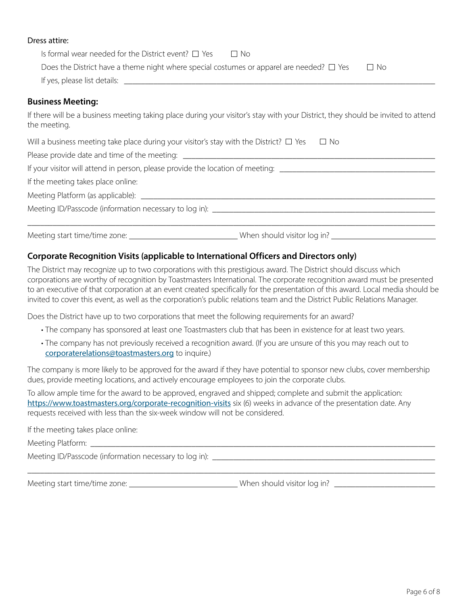#### Dress attire:

| Is formal wear needed for the District event? $\Box$ Yes $\Box$ No<br>Does the District have a theme night where special costumes or apparel are needed? $\Box$ Yes<br>$\Box$ No |
|----------------------------------------------------------------------------------------------------------------------------------------------------------------------------------|
|                                                                                                                                                                                  |
| <b>Business Meeting:</b>                                                                                                                                                         |
| If there will be a business meeting taking place during your visitor's stay with your District, they should be invited to attend<br>the meeting.                                 |
| Will a business meeting take place during your visitor's stay with the District? $\Box$ Yes $\Box$ No                                                                            |
|                                                                                                                                                                                  |
| If your visitor will attend in person, please provide the location of meeting:                                                                                                   |
| If the meeting takes place online:                                                                                                                                               |
|                                                                                                                                                                                  |
|                                                                                                                                                                                  |
|                                                                                                                                                                                  |

## **Corporate Recognition Visits (applicable to International Officers and Directors only)**

The District may recognize up to two corporations with this prestigious award. The District should discuss which corporations are worthy of recognition by Toastmasters International. The corporate recognition award must be presented to an executive of that corporation at an event created specifically for the presentation of this award. Local media should be invited to cover this event, as well as the corporation's public relations team and the District Public Relations Manager.

Does the District have up to two corporations that meet the following requirements for an award?

- The company has sponsored at least one Toastmasters club that has been in existence for at least two years.
- The company has not previously received a recognition award. (If you are unsure of this you may reach out to corporaterelations@toastmasters.org to inquire.)

The company is more likely to be approved for the award if they have potential to sponsor new clubs, cover membership dues, provide meeting locations, and actively encourage employees to join the corporate clubs.

\_\_\_\_\_\_\_\_\_\_\_\_\_\_\_\_\_\_\_\_\_\_\_\_\_\_\_\_\_\_\_\_\_\_\_\_\_\_\_\_\_\_\_\_\_\_\_\_\_\_\_\_\_\_\_\_\_\_\_\_\_\_\_\_\_\_\_\_\_\_\_\_\_\_\_\_\_\_\_\_\_\_\_\_\_\_\_\_\_\_\_\_\_\_\_\_\_

To allow ample time for the award to be approved, engraved and shipped; complete and submit the application: https://www.toastmasters.org/corporate-recognition-visits six (6) weeks in advance of the presentation date. Any requests received with less than the six-week window will not be considered.

If the meeting takes place online:

| Meetino<br>¬ '<br>IOHH. |  |
|-------------------------|--|
|                         |  |

Meeting ID/Passcode (information necessary to log in): \_\_\_\_\_\_\_\_\_\_\_\_\_\_\_\_\_\_\_\_\_\_\_\_\_\_\_\_\_\_\_\_\_\_\_\_\_\_\_\_\_\_\_\_\_\_\_\_\_\_\_\_\_

Meeting start time/time zone: \_\_\_\_\_\_\_\_\_\_\_\_\_\_\_\_\_\_\_\_\_\_\_\_\_\_\_\_\_When should visitor log in? \_\_\_\_\_\_\_\_\_\_\_\_\_\_\_\_\_\_\_\_\_\_\_